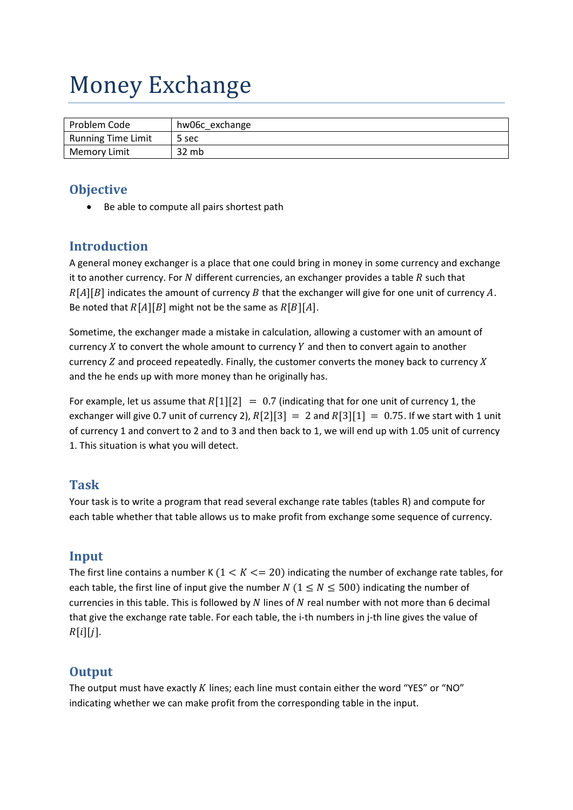# Money Exchange

| Problem Code              | hw06c exchange |
|---------------------------|----------------|
| <b>Running Time Limit</b> | 5 sec          |
| <b>Memory Limit</b>       | 32 mb          |

### **Objective**

Be able to compute all pairs shortest path

## **Introduction**

A general money exchanger is a place that one could bring in money in some currency and exchange it to another currency. For  $N$  different currencies, an exchanger provides a table  $R$  such that  $R[A][B]$  indicates the amount of currency  $B$  that the exchanger will give for one unit of currency  $A$ . Be noted that  $R[A][B]$  might not be the same as  $R[B][A]$ .

Sometime, the exchanger made a mistake in calculation, allowing a customer with an amount of currency  $X$  to convert the whole amount to currency  $Y$  and then to convert again to another currency  $Z$  and proceed repeatedly. Finally, the customer converts the money back to currency  $X$ and the he ends up with more money than he originally has.

For example, let us assume that  $R[1][2] = 0.7$  (indicating that for one unit of currency 1, the exchanger will give 0.7 unit of currency 2),  $R[2][3] = 2$  and  $R[3][1] = 0.75$ . If we start with 1 unit of currency 1 and convert to 2 and to 3 and then back to 1, we will end up with 1.05 unit of currency 1. This situation is what you will detect.

#### **Task**

Your task is to write a program that read several exchange rate tables (tables R) and compute for each table whether that table allows us to make profit from exchange some sequence of currency.

#### **Input**

The first line contains a number K  $(1 < K < = 20)$  indicating the number of exchange rate tables, for each table, the first line of input give the number N ( $1 \le N \le 500$ ) indicating the number of currencies in this table. This is followed by  $N$  lines of  $N$  real number with not more than 6 decimal that give the exchange rate table. For each table, the i-th numbers in j-th line gives the value of  $R[i][j].$ 

#### **Output**

The output must have exactly  $K$  lines; each line must contain either the word "YES" or "NO" indicating whether we can make profit from the corresponding table in the input.